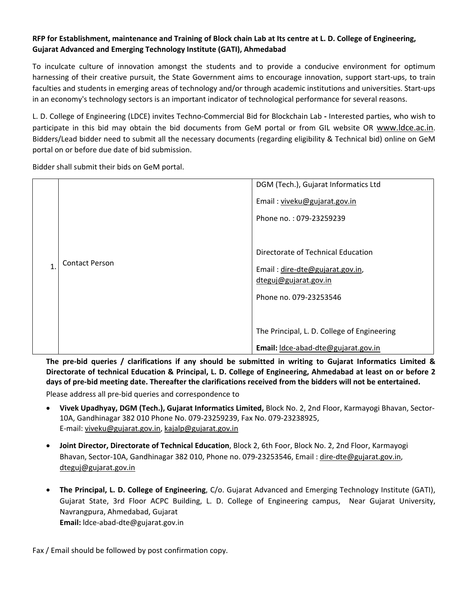# **RFP for Establishment, maintenance and Training of Block chain Lab at Its centre at L. D. College of Engineering, Gujarat Advanced and Emerging Technology Institute (GATI), Ahmedabad**

To inculcate culture of innovation amongst the students and to provide a conducive environment for optimum harnessing of their creative pursuit, the State Government aims to encourage innovation, support start-ups, to train faculties and students in emerging areas of technology and/or through academic institutions and universities. Start-ups in an economy's technology sectors is an important indicator of technological performance for several reasons.

L. D. College of Engineering (LDCE) invites Techno‐Commercial Bid for Blockchain Lab **‐** Interested parties, who wish to participate in this bid may obtain the bid documents from GeM portal or from GIL website OR www.ldce.ac.in. Bidders/Lead bidder need to submit all the necessary documents (regarding eligibility & Technical bid) online on GeM portal on or before due date of bid submission.

Bidder shall submit their bids on GeM portal.

|                       | DGM (Tech.), Gujarat Informatics Ltd                                                                                     |
|-----------------------|--------------------------------------------------------------------------------------------------------------------------|
|                       | Email: viveku@gujarat.gov.in<br>Phone no.: 079-23259239                                                                  |
| <b>Contact Person</b> | Directorate of Technical Education<br>Email: dire-dte@gujarat.gov.in,<br>dteguj@gujarat.gov.in<br>Phone no. 079-23253546 |
|                       | The Principal, L. D. College of Engineering<br>Email: Idce-abad-dte@gujarat.gov.in                                       |

**The pre‐bid queries / clarifications if any should be submitted in writing to Gujarat Informatics Limited & Directorate of technical Education & Principal, L. D. College of Engineering, Ahmedabad at least on or before 2 days of pre‐bid meeting date. Thereafter the clarifications received from the bidders will not be entertained.** 

Please address all pre‐bid queries and correspondence to

- **Vivek Upadhyay, DGM (Tech.), Gujarat Informatics Limited,** Block No. 2, 2nd Floor, Karmayogi Bhavan, Sector‐ 10A, Gandhinagar 382 010 Phone No. 079‐23259239, Fax No. 079‐23238925, E‐mail: viveku@gujarat.gov.in, kajalp@gujarat.gov.in
- **Joint Director, Directorate of Technical Education**, Block 2, 6th Foor, Block No. 2, 2nd Floor, Karmayogi Bhavan, Sector‐10A, Gandhinagar 382 010, Phone no. 079‐23253546, Email : dire‐dte@gujarat.gov.in, dteguj@gujarat.gov.in
- **The Principal, L. D. College of Engineering**, C/o. Gujarat Advanced and Emerging Technology Institute (GATI), Gujarat State, 3rd Floor ACPC Building, L. D. College of Engineering campus, Near Gujarat University, Navrangpura, Ahmedabad, Gujarat **Email:** ldce‐abad‐dte@gujarat.gov.in

Fax / Email should be followed by post confirmation copy.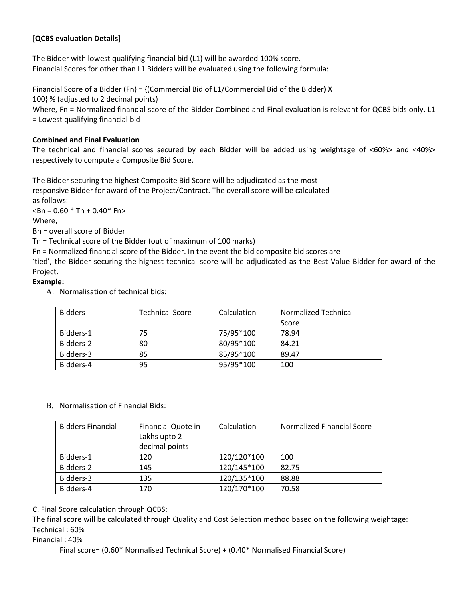# [**QCBS evaluation Details**]

The Bidder with lowest qualifying financial bid (L1) will be awarded 100% score. Financial Scores for other than L1 Bidders will be evaluated using the following formula:

Financial Score of a Bidder (Fn) = {(Commercial Bid of L1/Commercial Bid of the Bidder) X 100} % (adjusted to 2 decimal points) Where, Fn = Normalized financial score of the Bidder Combined and Final evaluation is relevant for QCBS bids only. L1 = Lowest qualifying financial bid

#### **Combined and Final Evaluation**

The technical and financial scores secured by each Bidder will be added using weightage of <60%> and <40%> respectively to compute a Composite Bid Score.

The Bidder securing the highest Composite Bid Score will be adjudicated as the most responsive Bidder for award of the Project/Contract. The overall score will be calculated as follows: ‐

 $$\text{dB}$  = 0.60  $$\text{Th} + 0.40$$  Fn>

Where,

Bn = overall score of Bidder

Tn = Technical score of the Bidder (out of maximum of 100 marks)

Fn = Normalized financial score of the Bidder. In the event the bid composite bid scores are

'tied', the Bidder securing the highest technical score will be adjudicated as the Best Value Bidder for award of the Project.

#### **Example:**

A. Normalisation of technical bids:

| <b>Bidders</b> | <b>Technical Score</b> | Calculation | Normalized Technical |
|----------------|------------------------|-------------|----------------------|
|                |                        |             | Score                |
| Bidders-1      | 75                     | 75/95*100   | 78.94                |
| Bidders-2      | 80                     | 80/95*100   | 84.21                |
| Bidders-3      | 85                     | 85/95*100   | 89.47                |
| Bidders-4      | 95                     | 95/95*100   | 100                  |

#### B. Normalisation of Financial Bids:

| <b>Bidders Financial</b> | Financial Quote in | Calculation | Normalized Financial Score |
|--------------------------|--------------------|-------------|----------------------------|
|                          | Lakhs upto 2       |             |                            |
|                          | decimal points     |             |                            |
| Bidders-1                | 120                | 120/120*100 | 100                        |
| Bidders-2                | 145                | 120/145*100 | 82.75                      |
| Bidders-3                | 135                | 120/135*100 | 88.88                      |
| Bidders-4                | 170                | 120/170*100 | 70.58                      |

C. Final Score calculation through QCBS:

The final score will be calculated through Quality and Cost Selection method based on the following weightage: Technical : 60%

#### Financial : 40%

Final score= (0.60\* Normalised Technical Score) + (0.40\* Normalised Financial Score)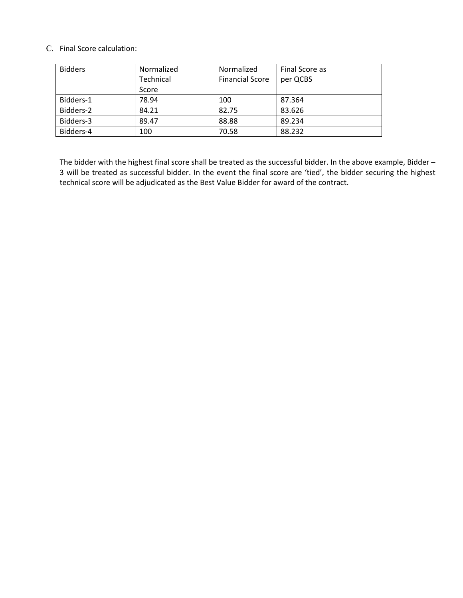#### C. Final Score calculation:

| <b>Bidders</b> | Normalized | Normalized             | Final Score as |
|----------------|------------|------------------------|----------------|
|                | Technical  | <b>Financial Score</b> | per QCBS       |
|                | Score      |                        |                |
| Bidders-1      | 78.94      | 100                    | 87.364         |
| Bidders-2      | 84.21      | 82.75                  | 83.626         |
| Bidders-3      | 89.47      | 88.88                  | 89.234         |
| Bidders-4      | 100        | 70.58                  | 88.232         |

The bidder with the highest final score shall be treated as the successful bidder. In the above example, Bidder – 3 will be treated as successful bidder. In the event the final score are 'tied', the bidder securing the highest technical score will be adjudicated as the Best Value Bidder for award of the contract.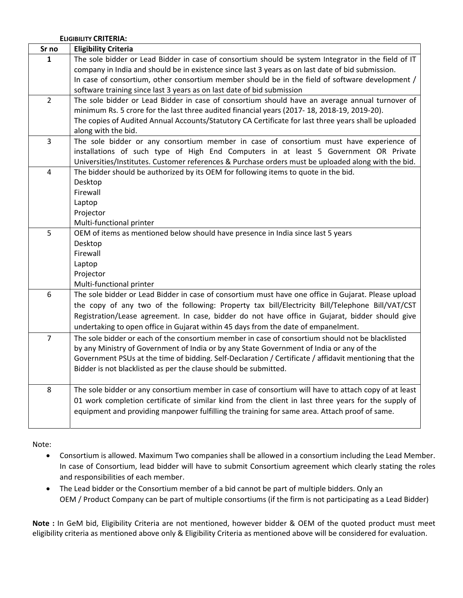#### **ELIGIBILITY CRITERIA:**

| Sr no          | <b>Eligibility Criteria</b>                                                                            |
|----------------|--------------------------------------------------------------------------------------------------------|
| 1              | The sole bidder or Lead Bidder in case of consortium should be system Integrator in the field of IT    |
|                | company in India and should be in existence since last 3 years as on last date of bid submission.      |
|                | In case of consortium, other consortium member should be in the field of software development /        |
|                | software training since last 3 years as on last date of bid submission                                 |
| $\overline{2}$ | The sole bidder or Lead Bidder in case of consortium should have an average annual turnover of         |
|                | minimum Rs. 5 crore for the last three audited financial years (2017-18, 2018-19, 2019-20).            |
|                | The copies of Audited Annual Accounts/Statutory CA Certificate for last three years shall be uploaded  |
|                | along with the bid.                                                                                    |
| $\overline{3}$ | The sole bidder or any consortium member in case of consortium must have experience of                 |
|                | installations of such type of High End Computers in at least 5 Government OR Private                   |
|                | Universities/Institutes. Customer references & Purchase orders must be uploaded along with the bid.    |
| $\overline{4}$ | The bidder should be authorized by its OEM for following items to quote in the bid.                    |
|                | Desktop                                                                                                |
|                | Firewall                                                                                               |
|                | Laptop                                                                                                 |
|                | Projector                                                                                              |
|                | Multi-functional printer                                                                               |
| 5              | OEM of items as mentioned below should have presence in India since last 5 years                       |
|                | Desktop<br>Firewall                                                                                    |
|                | Laptop                                                                                                 |
|                | Projector                                                                                              |
|                | Multi-functional printer                                                                               |
| 6              | The sole bidder or Lead Bidder in case of consortium must have one office in Gujarat. Please upload    |
|                | the copy of any two of the following: Property tax bill/Electricity Bill/Telephone Bill/VAT/CST        |
|                | Registration/Lease agreement. In case, bidder do not have office in Gujarat, bidder should give        |
|                | undertaking to open office in Gujarat within 45 days from the date of empanelment.                     |
| $\overline{7}$ | The sole bidder or each of the consortium member in case of consortium should not be blacklisted       |
|                | by any Ministry of Government of India or by any State Government of India or any of the               |
|                | Government PSUs at the time of bidding. Self-Declaration / Certificate / affidavit mentioning that the |
|                | Bidder is not blacklisted as per the clause should be submitted.                                       |
|                |                                                                                                        |
| 8              | The sole bidder or any consortium member in case of consortium will have to attach copy of at least    |
|                | 01 work completion certificate of similar kind from the client in last three years for the supply of   |
|                | equipment and providing manpower fulfilling the training for same area. Attach proof of same.          |
|                |                                                                                                        |
|                |                                                                                                        |

Note:

- Consortium is allowed. Maximum Two companies shall be allowed in a consortium including the Lead Member. In case of Consortium, lead bidder will have to submit Consortium agreement which clearly stating the roles and responsibilities of each member.
- The Lead bidder or the Consortium member of a bid cannot be part of multiple bidders. Only an OEM / Product Company can be part of multiple consortiums (if the firm is not participating as a Lead Bidder)

**Note :** In GeM bid, Eligibility Criteria are not mentioned, however bidder & OEM of the quoted product must meet eligibility criteria as mentioned above only & Eligibility Criteria as mentioned above will be considered for evaluation.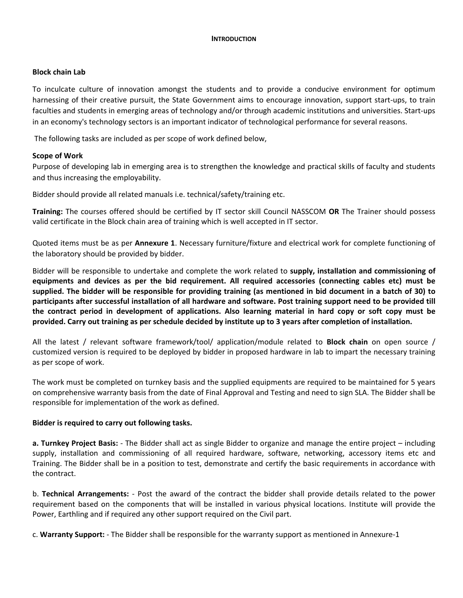#### **Block chain Lab**

To inculcate culture of innovation amongst the students and to provide a conducive environment for optimum harnessing of their creative pursuit, the State Government aims to encourage innovation, support start-ups, to train faculties and students in emerging areas of technology and/or through academic institutions and universities. Start-ups in an economy's technology sectors is an important indicator of technological performance for several reasons.

The following tasks are included as per scope of work defined below,

#### **Scope of Work**

Purpose of developing lab in emerging area is to strengthen the knowledge and practical skills of faculty and students and thus increasing the employability.

Bidder should provide all related manuals i.e. technical/safety/training etc.

**Training:** The courses offered should be certified by IT sector skill Council NASSCOM **OR** The Trainer should possess valid certificate in the Block chain area of training which is well accepted in IT sector.

Quoted items must be as per **Annexure 1**. Necessary furniture/fixture and electrical work for complete functioning of the laboratory should be provided by bidder.

Bidder will be responsible to undertake and complete the work related to **supply, installation and commissioning of equipments and devices as per the bid requirement. All required accessories (connecting cables etc) must be supplied. The bidder will be responsible for providing training (as mentioned in bid document in a batch of 30) to participants after successful installation of all hardware and software. Post training support need to be provided till the contract period in development of applications. Also learning material in hard copy or soft copy must be provided. Carry out training as per schedule decided by institute up to 3 years after completion of installation.**

All the latest / relevant software framework/tool/ application/module related to **Block chain** on open source / customized version is required to be deployed by bidder in proposed hardware in lab to impart the necessary training as per scope of work.

The work must be completed on turnkey basis and the supplied equipments are required to be maintained for 5 years on comprehensive warranty basis from the date of Final Approval and Testing and need to sign SLA. The Bidder shall be responsible for implementation of the work as defined.

#### **Bidder is required to carry out following tasks.**

**a. Turnkey Project Basis:** ‐ The Bidder shall act as single Bidder to organize and manage the entire project – including supply, installation and commissioning of all required hardware, software, networking, accessory items etc and Training. The Bidder shall be in a position to test, demonstrate and certify the basic requirements in accordance with the contract.

b. **Technical Arrangements:** ‐ Post the award of the contract the bidder shall provide details related to the power requirement based on the components that will be installed in various physical locations. Institute will provide the Power, Earthling and if required any other support required on the Civil part.

c. **Warranty Support:** ‐ The Bidder shall be responsible for the warranty support as mentioned in Annexure‐1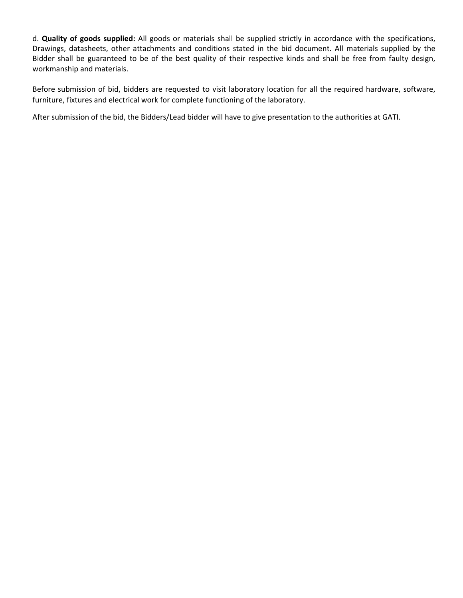d. **Quality of goods supplied:** All goods or materials shall be supplied strictly in accordance with the specifications, Drawings, datasheets, other attachments and conditions stated in the bid document. All materials supplied by the Bidder shall be guaranteed to be of the best quality of their respective kinds and shall be free from faulty design, workmanship and materials.

Before submission of bid, bidders are requested to visit laboratory location for all the required hardware, software, furniture, fixtures and electrical work for complete functioning of the laboratory.

After submission of the bid, the Bidders/Lead bidder will have to give presentation to the authorities at GATI.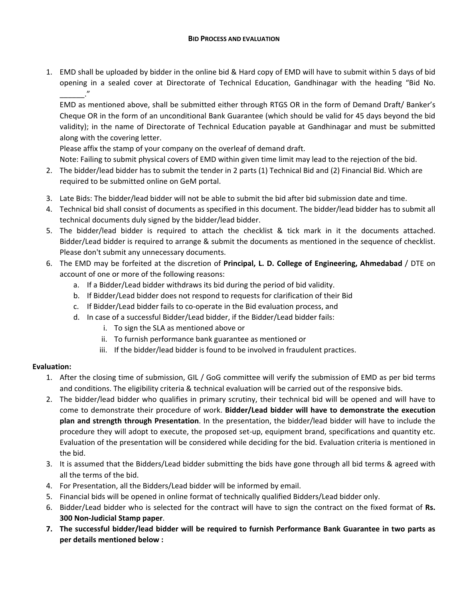1. EMD shall be uploaded by bidder in the online bid & Hard copy of EMD will have to submit within 5 days of bid opening in a sealed cover at Directorate of Technical Education, Gandhinagar with the heading "Bid No. \_\_\_\_\_\_."

EMD as mentioned above, shall be submitted either through RTGS OR in the form of Demand Draft/ Banker's Cheque OR in the form of an unconditional Bank Guarantee (which should be valid for 45 days beyond the bid validity); in the name of Directorate of Technical Education payable at Gandhinagar and must be submitted along with the covering letter.

Please affix the stamp of your company on the overleaf of demand draft.

Note: Failing to submit physical covers of EMD within given time limit may lead to the rejection of the bid.

- 2. The bidder/lead bidder has to submit the tender in 2 parts (1) Technical Bid and (2) Financial Bid. Which are required to be submitted online on GeM portal.
- 3. Late Bids: The bidder/lead bidder will not be able to submit the bid after bid submission date and time.
- 4. Technical bid shall consist of documents as specified in this document. The bidder/lead bidder has to submit all technical documents duly signed by the bidder/lead bidder.
- 5. The bidder/lead bidder is required to attach the checklist & tick mark in it the documents attached. Bidder/Lead bidder is required to arrange & submit the documents as mentioned in the sequence of checklist. Please don't submit any unnecessary documents.
- 6. The EMD may be forfeited at the discretion of **Principal, L. D. College of Engineering, Ahmedabad** / DTE on account of one or more of the following reasons:
	- a. If a Bidder/Lead bidder withdraws its bid during the period of bid validity.
	- b. If Bidder/Lead bidder does not respond to requests for clarification of their Bid
	- c. If Bidder/Lead bidder fails to co‐operate in the Bid evaluation process, and
	- d. In case of a successful Bidder/Lead bidder, if the Bidder/Lead bidder fails:
		- i. To sign the SLA as mentioned above or
		- ii. To furnish performance bank guarantee as mentioned or
		- iii. If the bidder/lead bidder is found to be involved in fraudulent practices.

## **Evaluation:**

- 1. After the closing time of submission, GIL / GoG committee will verify the submission of EMD as per bid terms and conditions. The eligibility criteria & technical evaluation will be carried out of the responsive bids.
- 2. The bidder/lead bidder who qualifies in primary scrutiny, their technical bid will be opened and will have to come to demonstrate their procedure of work. **Bidder/Lead bidder will have to demonstrate the execution plan and strength through Presentation**. In the presentation, the bidder/lead bidder will have to include the procedure they will adopt to execute, the proposed set-up, equipment brand, specifications and quantity etc. Evaluation of the presentation will be considered while deciding for the bid. Evaluation criteria is mentioned in the bid.
- 3. It is assumed that the Bidders/Lead bidder submitting the bids have gone through all bid terms & agreed with all the terms of the bid.
- 4. For Presentation, all the Bidders/Lead bidder will be informed by email.
- 5. Financial bids will be opened in online format of technically qualified Bidders/Lead bidder only.
- 6. Bidder/Lead bidder who is selected for the contract will have to sign the contract on the fixed format of **Rs. 300 Non‐Judicial Stamp paper**.
- **7. The successful bidder/lead bidder will be required to furnish Performance Bank Guarantee in two parts as per details mentioned below :**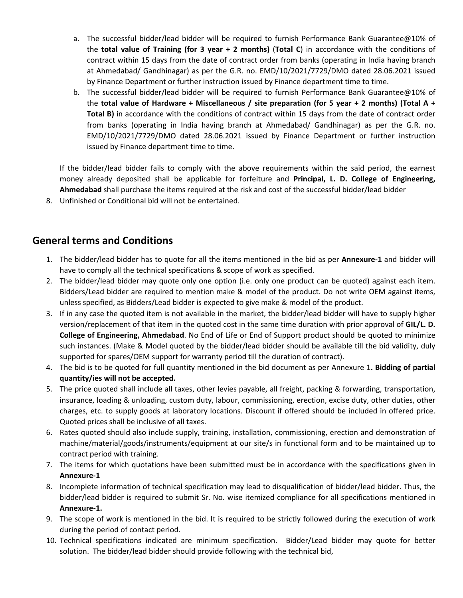- a. The successful bidder/lead bidder will be required to furnish Performance Bank Guarantee@10% of the **total value of Training (for 3 year + 2 months)** (**Total C**) in accordance with the conditions of contract within 15 days from the date of contract order from banks (operating in India having branch at Ahmedabad/ Gandhinagar) as per the G.R. no. EMD/10/2021/7729/DMO dated 28.06.2021 issued by Finance Department or further instruction issued by Finance department time to time.
- b. The successful bidder/lead bidder will be required to furnish Performance Bank Guarantee@10% of the **total value of Hardware + Miscellaneous / site preparation (for 5 year + 2 months) (Total A + Total B)** in accordance with the conditions of contract within 15 days from the date of contract order from banks (operating in India having branch at Ahmedabad/ Gandhinagar) as per the G.R. no. EMD/10/2021/7729/DMO dated 28.06.2021 issued by Finance Department or further instruction issued by Finance department time to time.

If the bidder/lead bidder fails to comply with the above requirements within the said period, the earnest money already deposited shall be applicable for forfeiture and **Principal, L. D. College of Engineering, Ahmedabad** shall purchase the items required at the risk and cost of the successful bidder/lead bidder

8. Unfinished or Conditional bid will not be entertained.

# **General terms and Conditions**

- 1. The bidder/lead bidder has to quote for all the items mentioned in the bid as per **Annexure‐1** and bidder will have to comply all the technical specifications & scope of work as specified.
- 2. The bidder/lead bidder may quote only one option (i.e. only one product can be quoted) against each item. Bidders/Lead bidder are required to mention make & model of the product. Do not write OEM against items, unless specified, as Bidders/Lead bidder is expected to give make & model of the product.
- 3. If in any case the quoted item is not available in the market, the bidder/lead bidder will have to supply higher version/replacement of that item in the quoted cost in the same time duration with prior approval of **GIL/L. D. College of Engineering, Ahmedabad**. No End of Life or End of Support product should be quoted to minimize such instances. (Make & Model quoted by the bidder/lead bidder should be available till the bid validity, duly supported for spares/OEM support for warranty period till the duration of contract).
- 4. The bid is to be quoted for full quantity mentioned in the bid document as per Annexure 1**. Bidding of partial quantity/ies will not be accepted.**
- 5. The price quoted shall include all taxes, other levies payable, all freight, packing & forwarding, transportation, insurance, loading & unloading, custom duty, labour, commissioning, erection, excise duty, other duties, other charges, etc. to supply goods at laboratory locations. Discount if offered should be included in offered price. Quoted prices shall be inclusive of all taxes.
- 6. Rates quoted should also include supply, training, installation, commissioning, erection and demonstration of machine/material/goods/instruments/equipment at our site/s in functional form and to be maintained up to contract period with training.
- 7. The items for which quotations have been submitted must be in accordance with the specifications given in **Annexure‐1**
- 8. Incomplete information of technical specification may lead to disqualification of bidder/lead bidder. Thus, the bidder/lead bidder is required to submit Sr. No. wise itemized compliance for all specifications mentioned in **Annexure‐1.**
- 9. The scope of work is mentioned in the bid. It is required to be strictly followed during the execution of work during the period of contact period.
- 10. Technical specifications indicated are minimum specification. Bidder/Lead bidder may quote for better solution. The bidder/lead bidder should provide following with the technical bid,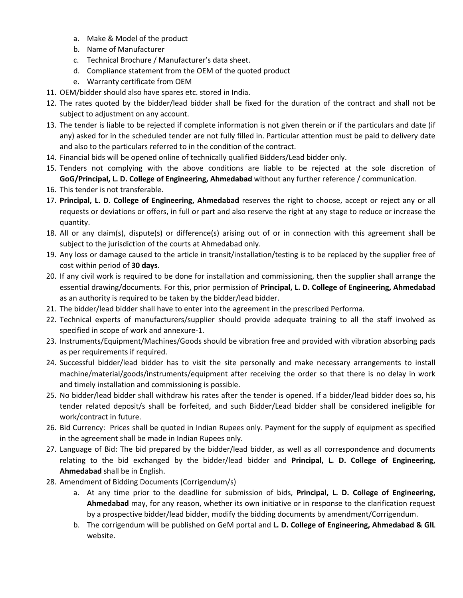- a. Make & Model of the product
- b. Name of Manufacturer
- c. Technical Brochure / Manufacturer's data sheet.
- d. Compliance statement from the OEM of the quoted product
- e. Warranty certificate from OEM
- 11. OEM/bidder should also have spares etc. stored in India.
- 12. The rates quoted by the bidder/lead bidder shall be fixed for the duration of the contract and shall not be subject to adjustment on any account.
- 13. The tender is liable to be rejected if complete information is not given therein or if the particulars and date (if any) asked for in the scheduled tender are not fully filled in. Particular attention must be paid to delivery date and also to the particulars referred to in the condition of the contract.
- 14. Financial bids will be opened online of technically qualified Bidders/Lead bidder only.
- 15. Tenders not complying with the above conditions are liable to be rejected at the sole discretion of **GoG/Principal, L. D. College of Engineering, Ahmedabad** without any further reference / communication.
- 16. This tender is not transferable.
- 17. Principal, L. D. College of Engineering, Ahmedabad reserves the right to choose, accept or reject any or all requests or deviations or offers, in full or part and also reserve the right at any stage to reduce or increase the quantity.
- 18. All or any claim(s), dispute(s) or difference(s) arising out of or in connection with this agreement shall be subject to the jurisdiction of the courts at Ahmedabad only.
- 19. Any loss or damage caused to the article in transit/installation/testing is to be replaced by the supplier free of cost within period of **30 days**.
- 20. If any civil work is required to be done for installation and commissioning, then the supplier shall arrange the essential drawing/documents. For this, prior permission of **Principal, L. D. College of Engineering, Ahmedabad** as an authority is required to be taken by the bidder/lead bidder.
- 21. The bidder/lead bidder shall have to enter into the agreement in the prescribed Performa.
- 22. Technical experts of manufacturers/supplier should provide adequate training to all the staff involved as specified in scope of work and annexure‐1.
- 23. Instruments/Equipment/Machines/Goods should be vibration free and provided with vibration absorbing pads as per requirements if required.
- 24. Successful bidder/lead bidder has to visit the site personally and make necessary arrangements to install machine/material/goods/instruments/equipment after receiving the order so that there is no delay in work and timely installation and commissioning is possible.
- 25. No bidder/lead bidder shall withdraw his rates after the tender is opened. If a bidder/lead bidder does so, his tender related deposit/s shall be forfeited, and such Bidder/Lead bidder shall be considered ineligible for work/contract in future.
- 26. Bid Currency: Prices shall be quoted in Indian Rupees only. Payment for the supply of equipment as specified in the agreement shall be made in Indian Rupees only.
- 27. Language of Bid: The bid prepared by the bidder/lead bidder, as well as all correspondence and documents relating to the bid exchanged by the bidder/lead bidder and **Principal, L. D. College of Engineering, Ahmedabad** shall be in English.
- 28. Amendment of Bidding Documents (Corrigendum/s)
	- a. At any time prior to the deadline for submission of bids, **Principal, L. D. College of Engineering, Ahmedabad** may, for any reason, whether its own initiative or in response to the clarification request by a prospective bidder/lead bidder, modify the bidding documents by amendment/Corrigendum.
	- b. The corrigendum will be published on GeM portal and **L. D. College of Engineering, Ahmedabad & GIL**  website.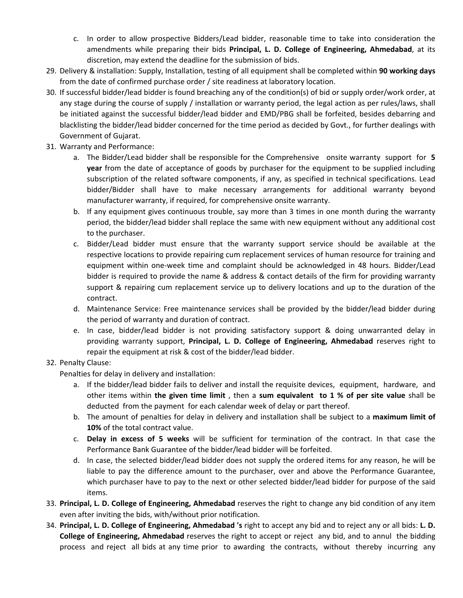- c. In order to allow prospective Bidders/Lead bidder, reasonable time to take into consideration the amendments while preparing their bids **Principal, L. D. College of Engineering, Ahmedabad**, at its discretion, may extend the deadline for the submission of bids.
- 29. Delivery & installation: Supply, Installation, testing of all equipment shall be completed within **90 working days**  from the date of confirmed purchase order / site readiness at laboratory location.
- 30. If successful bidder/lead bidder is found breaching any of the condition(s) of bid or supply order/work order, at any stage during the course of supply / installation or warranty period, the legal action as per rules/laws, shall be initiated against the successful bidder/lead bidder and EMD/PBG shall be forfeited, besides debarring and blacklisting the bidder/lead bidder concerned for the time period as decided by Govt., for further dealings with Government of Gujarat.
- 31. Warranty and Performance:
	- a. The Bidder/Lead bidder shall be responsible for the Comprehensive onsite warranty support for  **5 year** from the date of acceptance of goods by purchaser for the equipment to be supplied including subscription of the related software components, if any, as specified in technical specifications. Lead bidder/Bidder shall have to make necessary arrangements for additional warranty beyond manufacturer warranty, if required, for comprehensive onsite warranty.
	- b. If any equipment gives continuous trouble, say more than 3 times in one month during the warranty period, the bidder/lead bidder shall replace the same with new equipment without any additional cost to the purchaser.
	- c. Bidder/Lead bidder must ensure that the warranty support service should be available at the respective locations to provide repairing cum replacement services of human resource for training and equipment within one-week time and complaint should be acknowledged in 48 hours. Bidder/Lead bidder is required to provide the name & address & contact details of the firm for providing warranty support & repairing cum replacement service up to delivery locations and up to the duration of the contract.
	- d. Maintenance Service: Free maintenance services shall be provided by the bidder/lead bidder during the period of warranty and duration of contract.
	- e. In case, bidder/lead bidder is not providing satisfactory support & doing unwarranted delay in providing warranty support, **Principal, L. D. College of Engineering, Ahmedabad** reserves right to repair the equipment at risk & cost of the bidder/lead bidder.

# 32. Penalty Clause:

Penalties for delay in delivery and installation:

- a. If the bidder/lead bidder fails to deliver and install the requisite devices, equipment, hardware, and other items within **the given time limit** , then a **sum equivalent to 1 % of per site value** shall be deducted from the payment for each calendar week of delay or part thereof.
- b. The amount of penalties for delay in delivery and installation shall be subject to a **maximum limit of 10%** of the total contract value.
- c. **Delay in excess of 5 weeks** will be sufficient for termination of the contract. In that case the Performance Bank Guarantee of the bidder/lead bidder will be forfeited.
- d. In case, the selected bidder/lead bidder does not supply the ordered items for any reason, he will be liable to pay the difference amount to the purchaser, over and above the Performance Guarantee, which purchaser have to pay to the next or other selected bidder/lead bidder for purpose of the said items.
- 33. **Principal, L. D. College of Engineering, Ahmedabad** reserves the right to change any bid condition of any item even after inviting the bids, with/without prior notification.
- 34. **Principal, L. D. College of Engineering, Ahmedabad 's** right to accept any bid and to reject any or all bids: **L. D. College of Engineering, Ahmedabad** reserves the right to accept or reject any bid, and to annul the bidding process and reject all bids at any time prior to awarding the contracts, without thereby incurring any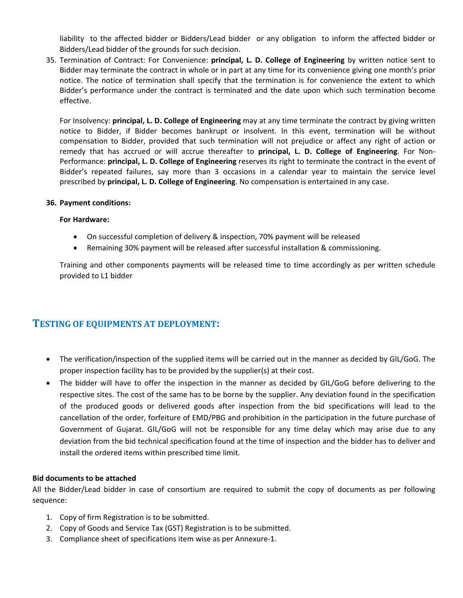liability to the affected bidder or Bidders/Lead bidder or any obligation to inform the affected bidder or Bidders/Lead bidder of the grounds for such decision.

35. Termination of Contract: For Convenience: **principal, L. D. College of Engineering** by written notice sent to Bidder may terminate the contract in whole or in part at any time for its convenience giving one month's prior notice. The notice of termination shall specify that the termination is for convenience the extent to which Bidder's performance under the contract is terminated and the date upon which such termination become effective.

For Insolvency: **principal, L. D. College of Engineering** may at any time terminate the contract by giving written notice to Bidder, if Bidder becomes bankrupt or insolvent. In this event, termination will be without compensation to Bidder, provided that such termination will not prejudice or affect any right of action or remedy that has accrued or will accrue thereafter to **principal, L. D. College of Engineering**. For Non‐ Performance: **principal, L. D. College of Engineering** reserves its right to terminate the contract in the event of Bidder's repeated failures, say more than 3 occasions in a calendar year to maintain the service level prescribed by **principal, L. D. College of Engineering**. No compensation is entertained in any case.

#### **36. Payment conditions:**

#### **For Hardware:**

- On successful completion of delivery & inspection, 70% payment will be released
- Remaining 30% payment will be released after successful installation & commissioning.

Training and other components payments will be released time to time accordingly as per written schedule provided to L1 bidder

# **TESTING OF EQUIPMENTS AT DEPLOYMENT:**

- The verification/inspection of the supplied items will be carried out in the manner as decided by GIL/GoG. The proper inspection facility has to be provided by the supplier(s) at their cost.
- The bidder will have to offer the inspection in the manner as decided by GIL/GoG before delivering to the respective sites. The cost of the same has to be borne by the supplier. Any deviation found in the specification of the produced goods or delivered goods after inspection from the bid specifications will lead to the cancellation of the order, forfeiture of EMD/PBG and prohibition in the participation in the future purchase of Government of Gujarat. GIL/GoG will not be responsible for any time delay which may arise due to any deviation from the bid technical specification found at the time of inspection and the bidder has to deliver and install the ordered items within prescribed time limit.

#### **Bid documents to be attached**

All the Bidder/Lead bidder in case of consortium are required to submit the copy of documents as per following sequence:

- 1. Copy of firm Registration is to be submitted.
- 2. Copy of Goods and Service Tax (GST) Registration is to be submitted.
- 3. Compliance sheet of specifications item wise as per Annexure‐1.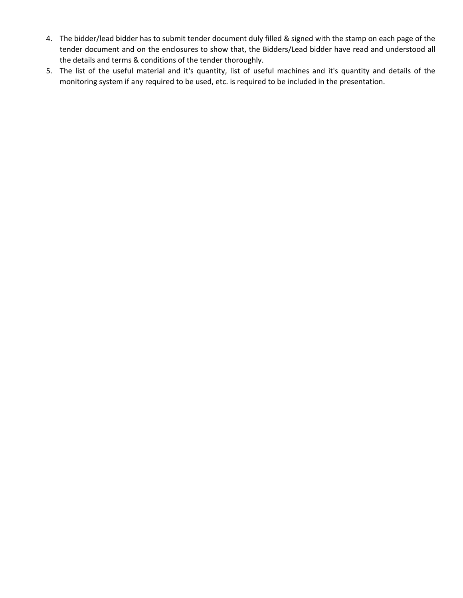- 4. The bidder/lead bidder has to submit tender document duly filled & signed with the stamp on each page of the tender document and on the enclosures to show that, the Bidders/Lead bidder have read and understood all the details and terms & conditions of the tender thoroughly.
- 5. The list of the useful material and it's quantity, list of useful machines and it's quantity and details of the monitoring system if any required to be used, etc. is required to be included in the presentation.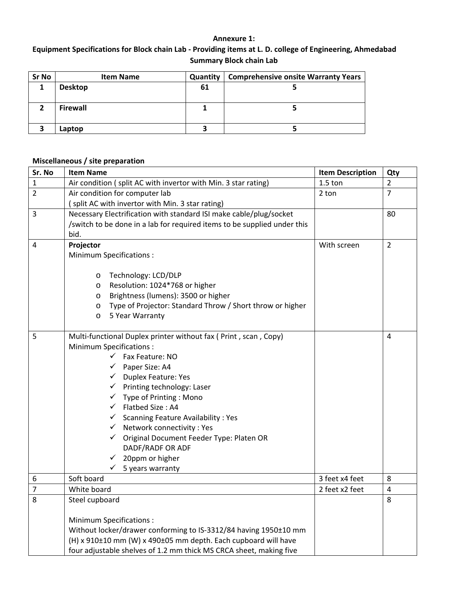#### **Annexure 1:**

**Equipment Specifications for Block chain Lab ‐ Providing items at L. D. college of Engineering, Ahmedabad Summary Block chain Lab**

| <b>Sr No</b> | <b>Item Name</b> | Quantity | <b>Comprehensive onsite Warranty Years</b> |
|--------------|------------------|----------|--------------------------------------------|
|              | <b>Desktop</b>   | 61       |                                            |
|              | Firewall         |          |                                            |
|              | Laptop           |          |                                            |

# **Miscellaneous / site preparation**

| Sr. No         | <b>Item Name</b>                                                         | <b>Item Description</b> | Qty            |
|----------------|--------------------------------------------------------------------------|-------------------------|----------------|
| 1              | Air condition (split AC with invertor with Min. 3 star rating)           | $1.5$ ton               | $\overline{2}$ |
| $\overline{2}$ | Air condition for computer lab                                           | 2 ton                   | $\overline{7}$ |
|                | (split AC with invertor with Min. 3 star rating)                         |                         |                |
| $\overline{3}$ | Necessary Electrification with standard ISI make cable/plug/socket       |                         | 80             |
|                | /switch to be done in a lab for required items to be supplied under this |                         |                |
|                | bid.                                                                     |                         |                |
| 4              | Projector                                                                | With screen             | $\overline{2}$ |
|                | <b>Minimum Specifications:</b>                                           |                         |                |
|                |                                                                          |                         |                |
|                | Technology: LCD/DLP<br>O                                                 |                         |                |
|                | Resolution: 1024*768 or higher<br>$\circ$                                |                         |                |
|                | Brightness (lumens): 3500 or higher<br>O                                 |                         |                |
|                | Type of Projector: Standard Throw / Short throw or higher<br>$\circ$     |                         |                |
|                | 5 Year Warranty<br>O                                                     |                         |                |
|                |                                                                          |                         |                |
| 5              | Multi-functional Duplex printer without fax (Print, scan, Copy)          |                         | 4              |
|                | <b>Minimum Specifications:</b>                                           |                         |                |
|                | ✓<br>Fax Feature: NO                                                     |                         |                |
|                | Paper Size: A4                                                           |                         |                |
|                | $\checkmark$ Duplex Feature: Yes                                         |                         |                |
|                | $\checkmark$ Printing technology: Laser                                  |                         |                |
|                | $\checkmark$ Type of Printing : Mono                                     |                         |                |
|                | $\checkmark$ Flatbed Size: A4                                            |                         |                |
|                | $\checkmark$ Scanning Feature Availability : Yes                         |                         |                |
|                | $\checkmark$ Network connectivity : Yes                                  |                         |                |
|                | √ Original Document Feeder Type: Platen OR                               |                         |                |
|                | DADF/RADF OR ADF                                                         |                         |                |
|                | $\checkmark$ 20ppm or higher                                             |                         |                |
|                | $\checkmark$<br>5 years warranty                                         |                         |                |
| 6              | Soft board                                                               | 3 feet x4 feet          | 8              |
| $\overline{7}$ | White board                                                              | 2 feet x2 feet          | $\overline{4}$ |
| 8              | Steel cupboard                                                           |                         | 8              |
|                |                                                                          |                         |                |
|                | <b>Minimum Specifications:</b>                                           |                         |                |
|                | Without locker/drawer conforming to IS-3312/84 having 1950±10 mm         |                         |                |
|                | (H) x 910±10 mm (W) x 490±05 mm depth. Each cupboard will have           |                         |                |
|                | four adjustable shelves of 1.2 mm thick MS CRCA sheet, making five       |                         |                |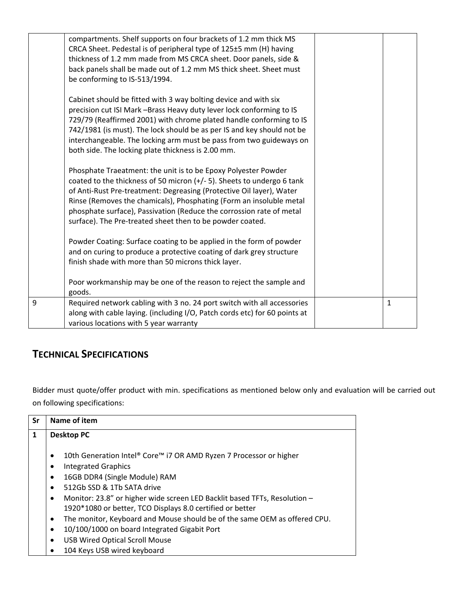|   | compartments. Shelf supports on four brackets of 1.2 mm thick MS<br>CRCA Sheet. Pedestal is of peripheral type of 125±5 mm (H) having<br>thickness of 1.2 mm made from MS CRCA sheet. Door panels, side &<br>back panels shall be made out of 1.2 mm MS thick sheet. Sheet must<br>be conforming to IS-513/1994.                                                                                                             |              |
|---|------------------------------------------------------------------------------------------------------------------------------------------------------------------------------------------------------------------------------------------------------------------------------------------------------------------------------------------------------------------------------------------------------------------------------|--------------|
|   | Cabinet should be fitted with 3 way bolting device and with six<br>precision cut ISI Mark -Brass Heavy duty lever lock conforming to IS<br>729/79 (Reaffirmed 2001) with chrome plated handle conforming to IS<br>742/1981 (is must). The lock should be as per IS and key should not be<br>interchangeable. The locking arm must be pass from two guideways on<br>both side. The locking plate thickness is 2.00 mm.        |              |
|   | Phosphate Traeatment: the unit is to be Epoxy Polyester Powder<br>coated to the thickness of 50 micron (+/- 5). Sheets to undergo 6 tank<br>of Anti-Rust Pre-treatment: Degreasing (Protective Oil layer), Water<br>Rinse (Removes the chamicals), Phosphating (Form an insoluble metal<br>phosphate surface), Passivation (Reduce the corrossion rate of metal<br>surface). The Pre-treated sheet then to be powder coated. |              |
|   | Powder Coating: Surface coating to be applied in the form of powder<br>and on curing to produce a protective coating of dark grey structure<br>finish shade with more than 50 microns thick layer.                                                                                                                                                                                                                           |              |
|   | Poor workmanship may be one of the reason to reject the sample and<br>goods.                                                                                                                                                                                                                                                                                                                                                 |              |
| 9 | Required network cabling with 3 no. 24 port switch with all accessories<br>along with cable laying. (including I/O, Patch cords etc) for 60 points at<br>various locations with 5 year warranty                                                                                                                                                                                                                              | $\mathbf{1}$ |
|   |                                                                                                                                                                                                                                                                                                                                                                                                                              |              |

# **TECHNICAL SPECIFICATIONS**

Bidder must quote/offer product with min. specifications as mentioned below only and evaluation will be carried out on following specifications:

| <b>Sr</b> | Name of item                                                                                                                                                                                                                                                   |  |
|-----------|----------------------------------------------------------------------------------------------------------------------------------------------------------------------------------------------------------------------------------------------------------------|--|
| 1         | <b>Desktop PC</b>                                                                                                                                                                                                                                              |  |
|           | 10th Generation Intel® Core™ i7 OR AMD Ryzen 7 Processor or higher<br><b>Integrated Graphics</b><br>16GB DDR4 (Single Module) RAM<br>512Gb SSD & 1Tb SATA drive<br>Monitor: 23.8" or higher wide screen LED Backlit based TFTs, Resolution -                   |  |
|           | 1920*1080 or better, TCO Displays 8.0 certified or better<br>The monitor, Keyboard and Mouse should be of the same OEM as offered CPU.<br>10/100/1000 on board Integrated Gigabit Port<br><b>USB Wired Optical Scroll Mouse</b><br>104 Keys USB wired keyboard |  |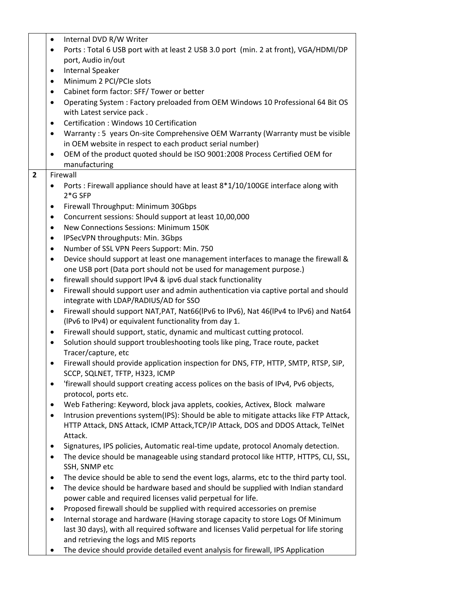|                         | $\bullet$ | Internal DVD R/W Writer                                                                              |
|-------------------------|-----------|------------------------------------------------------------------------------------------------------|
|                         | $\bullet$ | Ports: Total 6 USB port with at least 2 USB 3.0 port (min. 2 at front), VGA/HDMI/DP                  |
|                         |           | port, Audio in/out                                                                                   |
|                         | $\bullet$ | <b>Internal Speaker</b>                                                                              |
|                         | $\bullet$ | Minimum 2 PCI/PCIe slots                                                                             |
|                         | $\bullet$ | Cabinet form factor: SFF/ Tower or better                                                            |
|                         | $\bullet$ | Operating System : Factory preloaded from OEM Windows 10 Professional 64 Bit OS                      |
|                         |           | with Latest service pack.                                                                            |
|                         | $\bullet$ | Certification: Windows 10 Certification                                                              |
|                         | $\bullet$ | Warranty: 5 years On-site Comprehensive OEM Warranty (Warranty must be visible                       |
|                         |           | in OEM website in respect to each product serial number)                                             |
|                         | $\bullet$ | OEM of the product quoted should be ISO 9001:2008 Process Certified OEM for                          |
|                         |           | manufacturing                                                                                        |
| $\overline{\mathbf{c}}$ |           | Firewall                                                                                             |
|                         | $\bullet$ | Ports: Firewall appliance should have at least 8*1/10/100GE interface along with                     |
|                         |           | $2*G$ SFP                                                                                            |
|                         | $\bullet$ | Firewall Throughput: Minimum 30Gbps                                                                  |
|                         | $\bullet$ | Concurrent sessions: Should support at least 10,00,000                                               |
|                         | $\bullet$ | New Connections Sessions: Minimum 150K                                                               |
|                         | $\bullet$ | IPSecVPN throughputs: Min. 3Gbps                                                                     |
|                         | $\bullet$ | Number of SSL VPN Peers Support: Min. 750                                                            |
|                         | $\bullet$ | Device should support at least one management interfaces to manage the firewall &                    |
|                         |           | one USB port (Data port should not be used for management purpose.)                                  |
|                         | $\bullet$ | firewall should support IPv4 & ipv6 dual stack functionality                                         |
|                         | $\bullet$ | Firewall should support user and admin authentication via captive portal and should                  |
|                         |           | integrate with LDAP/RADIUS/AD for SSO                                                                |
|                         | $\bullet$ | Firewall should support NAT, PAT, Nat66(IPv6 to IPv6), Nat 46(IPv4 to IPv6) and Nat64                |
|                         |           | (IPv6 to IPv4) or equivalent functionality from day 1.                                               |
|                         | $\bullet$ | Firewall should support, static, dynamic and multicast cutting protocol.                             |
|                         | $\bullet$ | Solution should support troubleshooting tools like ping, Trace route, packet                         |
|                         |           | Tracer/capture, etc                                                                                  |
|                         | $\bullet$ | Firewall should provide application inspection for DNS, FTP, HTTP, SMTP, RTSP, SIP,                  |
|                         |           | SCCP, SQLNET, TFTP, H323, ICMP                                                                       |
|                         |           | 'firewall should support creating access polices on the basis of IPv4, Pv6 objects,                  |
|                         |           | protocol, ports etc.                                                                                 |
|                         | ٠         | Web Fathering: Keyword, block java applets, cookies, Activex, Block malware                          |
|                         | $\bullet$ | Intrusion preventions system(IPS): Should be able to mitigate attacks like FTP Attack,               |
|                         |           | HTTP Attack, DNS Attack, ICMP Attack, TCP/IP Attack, DOS and DDOS Attack, TelNet                     |
|                         |           | Attack.                                                                                              |
|                         | $\bullet$ | Signatures, IPS policies, Automatic real-time update, protocol Anomaly detection.                    |
|                         | ٠         | The device should be manageable using standard protocol like HTTP, HTTPS, CLI, SSL,<br>SSH, SNMP etc |
|                         | $\bullet$ | The device should be able to send the event logs, alarms, etc to the third party tool.               |
|                         | $\bullet$ | The device should be hardware based and should be supplied with Indian standard                      |
|                         |           | power cable and required licenses valid perpetual for life.                                          |
|                         | $\bullet$ | Proposed firewall should be supplied with required accessories on premise                            |
|                         | $\bullet$ | Internal storage and hardware (Having storage capacity to store Logs Of Minimum                      |
|                         |           | last 30 days), with all required software and licenses Valid perpetual for life storing              |
|                         |           | and retrieving the logs and MIS reports                                                              |
|                         | ٠         | The device should provide detailed event analysis for firewall, IPS Application                      |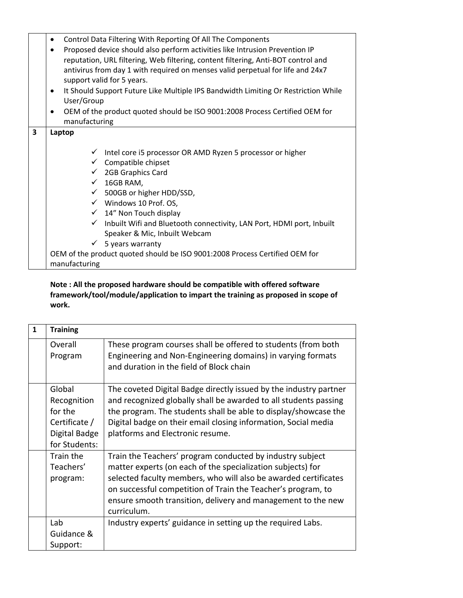|                         | Control Data Filtering With Reporting Of All The Components<br>٠                                |  |  |
|-------------------------|-------------------------------------------------------------------------------------------------|--|--|
|                         | Proposed device should also perform activities like Intrusion Prevention IP<br>٠                |  |  |
|                         | reputation, URL filtering, Web filtering, content filtering, Anti-BOT control and               |  |  |
|                         | antivirus from day 1 with required on menses valid perpetual for life and 24x7                  |  |  |
|                         | support valid for 5 years.                                                                      |  |  |
|                         | It Should Support Future Like Multiple IPS Bandwidth Limiting Or Restriction While<br>$\bullet$ |  |  |
|                         | User/Group                                                                                      |  |  |
|                         | OEM of the product quoted should be ISO 9001:2008 Process Certified OEM for<br>$\bullet$        |  |  |
|                         | manufacturing                                                                                   |  |  |
| $\overline{\mathbf{3}}$ | Laptop                                                                                          |  |  |
|                         |                                                                                                 |  |  |
|                         | Intel core i5 processor OR AMD Ryzen 5 processor or higher                                      |  |  |
|                         | $\checkmark$ Compatible chipset                                                                 |  |  |
|                         | $\checkmark$ 2GB Graphics Card                                                                  |  |  |
|                         | $\checkmark$ 16GB RAM,                                                                          |  |  |
|                         | ✓ 500GB or higher HDD/SSD,                                                                      |  |  |
|                         | $\checkmark$ Windows 10 Prof. OS,                                                               |  |  |
|                         | $\checkmark$ 14" Non Touch display                                                              |  |  |
|                         | $\checkmark$ Inbuilt Wifi and Bluetooth connectivity, LAN Port, HDMI port, Inbuilt              |  |  |
|                         | Speaker & Mic, Inbuilt Webcam                                                                   |  |  |
|                         | $\checkmark$ 5 years warranty                                                                   |  |  |
|                         | OEM of the product quoted should be ISO 9001:2008 Process Certified OEM for                     |  |  |
|                         | manufacturing                                                                                   |  |  |

# **Note : All the proposed hardware should be compatible with offered software framework/tool/module/application to impart the training as proposed in scope of work.**

| $\mathbf{1}$ | <b>Training</b>                                                                     |                                                                                                                                                                                                                                                                                                                                            |  |
|--------------|-------------------------------------------------------------------------------------|--------------------------------------------------------------------------------------------------------------------------------------------------------------------------------------------------------------------------------------------------------------------------------------------------------------------------------------------|--|
|              | Overall<br>Program                                                                  | These program courses shall be offered to students (from both<br>Engineering and Non-Engineering domains) in varying formats<br>and duration in the field of Block chain                                                                                                                                                                   |  |
|              | Global<br>Recognition<br>for the<br>Certificate /<br>Digital Badge<br>for Students: | The coveted Digital Badge directly issued by the industry partner<br>and recognized globally shall be awarded to all students passing<br>the program. The students shall be able to display/showcase the<br>Digital badge on their email closing information, Social media<br>platforms and Electronic resume.                             |  |
|              | Train the<br>Teachers'<br>program:                                                  | Train the Teachers' program conducted by industry subject<br>matter experts (on each of the specialization subjects) for<br>selected faculty members, who will also be awarded certificates<br>on successful competition of Train the Teacher's program, to<br>ensure smooth transition, delivery and management to the new<br>curriculum. |  |
|              | Lab<br>Guidance &<br>Support:                                                       | Industry experts' guidance in setting up the required Labs.                                                                                                                                                                                                                                                                                |  |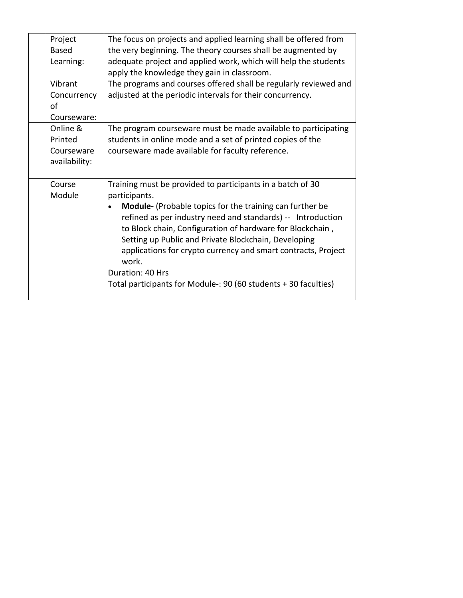| Project       | The focus on projects and applied learning shall be offered from |
|---------------|------------------------------------------------------------------|
| <b>Based</b>  | the very beginning. The theory courses shall be augmented by     |
| Learning:     | adequate project and applied work, which will help the students  |
|               | apply the knowledge they gain in classroom.                      |
| Vibrant       | The programs and courses offered shall be regularly reviewed and |
| Concurrency   | adjusted at the periodic intervals for their concurrency.        |
| οf            |                                                                  |
| Courseware:   |                                                                  |
| Online &      | The program courseware must be made available to participating   |
| Printed       | students in online mode and a set of printed copies of the       |
| Courseware    | courseware made available for faculty reference.                 |
| availability: |                                                                  |
|               |                                                                  |
| Course        | Training must be provided to participants in a batch of 30       |
| Module        | participants.                                                    |
|               | <b>Module-</b> (Probable topics for the training can further be  |
|               | refined as per industry need and standards) -- Introduction      |
|               | to Block chain, Configuration of hardware for Blockchain,        |
|               | Setting up Public and Private Blockchain, Developing             |
|               | applications for crypto currency and smart contracts, Project    |
|               | work.                                                            |
|               | Duration: 40 Hrs                                                 |
|               | Total participants for Module-: 90 (60 students + 30 faculties)  |
|               |                                                                  |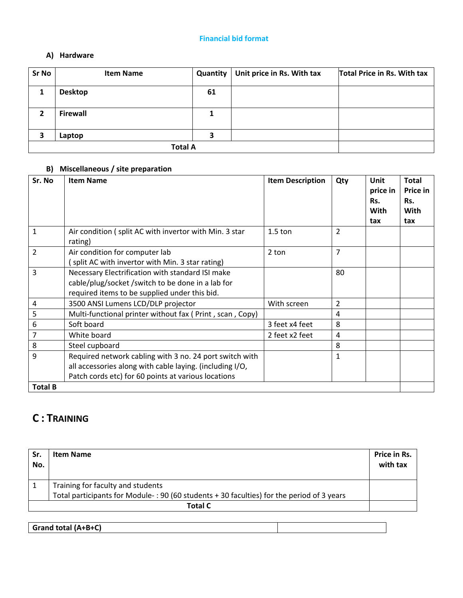#### **Financial bid format**

# **A) Hardware**

| Sr No | <b>Item Name</b> | Quantity | Unit price in Rs. With tax | <b>Total Price in Rs. With tax</b> |
|-------|------------------|----------|----------------------------|------------------------------------|
| 1     | <b>Desktop</b>   | 61       |                            |                                    |
| 2     | <b>Firewall</b>  |          |                            |                                    |
| 3     | Laptop           |          |                            |                                    |
|       | <b>Total A</b>   |          |                            |                                    |

# **B) Miscellaneous / site preparation**

| Sr. No         | <b>Item Name</b>                                                                                                                                                           | <b>Item Description</b> | Qty            | Unit<br>price in<br>Rs.<br>With<br>tax | <b>Total</b><br>Price in<br>Rs.<br>With<br>tax |
|----------------|----------------------------------------------------------------------------------------------------------------------------------------------------------------------------|-------------------------|----------------|----------------------------------------|------------------------------------------------|
| $\mathbf{1}$   | Air condition (split AC with invertor with Min. 3 star<br>rating)                                                                                                          | $1.5$ ton               | $\overline{2}$ |                                        |                                                |
| $\overline{2}$ | Air condition for computer lab<br>split AC with invertor with Min. 3 star rating)                                                                                          | 2 ton                   | $\overline{7}$ |                                        |                                                |
| 3              | Necessary Electrification with standard ISI make<br>cable/plug/socket/switch to be done in a lab for<br>required items to be supplied under this bid.                      |                         | 80             |                                        |                                                |
| 4              | 3500 ANSI Lumens LCD/DLP projector                                                                                                                                         | With screen             | 2              |                                        |                                                |
| 5              | Multi-functional printer without fax (Print, scan, Copy)                                                                                                                   |                         | 4              |                                        |                                                |
| 6              | Soft board                                                                                                                                                                 | 3 feet x4 feet          | 8              |                                        |                                                |
|                | White board                                                                                                                                                                | 2 feet x2 feet          | 4              |                                        |                                                |
| 8              | Steel cupboard                                                                                                                                                             |                         | 8              |                                        |                                                |
| 9              | Required network cabling with 3 no. 24 port switch with<br>all accessories along with cable laying. (including I/O,<br>Patch cords etc) for 60 points at various locations |                         | $\mathbf{1}$   |                                        |                                                |
| <b>Total B</b> |                                                                                                                                                                            |                         |                |                                        |                                                |

# **C : TRAINING**

| Sr.<br>No. | <b>Item Name</b>                                                                          | Price in Rs.<br>with tax |
|------------|-------------------------------------------------------------------------------------------|--------------------------|
|            | Training for faculty and students                                                         |                          |
|            | Total participants for Module-: 90 (60 students + 30 faculties) for the period of 3 years |                          |
|            | <b>Total C</b>                                                                            |                          |

**Grand total (A+B+C)**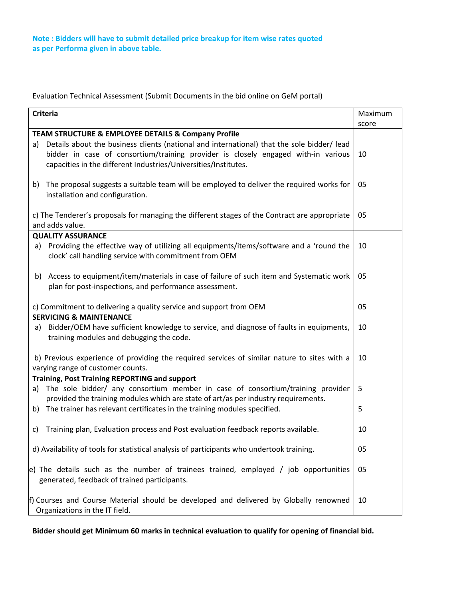Evaluation Technical Assessment (Submit Documents in the bid online on GeM portal)

| <b>Criteria</b><br>Maximum                                                                       |    |  |  |
|--------------------------------------------------------------------------------------------------|----|--|--|
| score                                                                                            |    |  |  |
| TEAM STRUCTURE & EMPLOYEE DETAILS & Company Profile                                              |    |  |  |
| Details about the business clients (national and international) that the sole bidder/ lead<br>a) |    |  |  |
| bidder in case of consortium/training provider is closely engaged with-in various                | 10 |  |  |
| capacities in the different Industries/Universities/Institutes.                                  |    |  |  |
|                                                                                                  |    |  |  |
| b) The proposal suggests a suitable team will be employed to deliver the required works for      | 05 |  |  |
| installation and configuration.                                                                  |    |  |  |
|                                                                                                  |    |  |  |
| c) The Tenderer's proposals for managing the different stages of the Contract are appropriate    | 05 |  |  |
| and adds value.                                                                                  |    |  |  |
| <b>QUALITY ASSURANCE</b>                                                                         |    |  |  |
| a) Providing the effective way of utilizing all equipments/items/software and a 'round the       | 10 |  |  |
| clock' call handling service with commitment from OEM                                            |    |  |  |
|                                                                                                  |    |  |  |
| Access to equipment/item/materials in case of failure of such item and Systematic work<br>b)     | 05 |  |  |
| plan for post-inspections, and performance assessment.                                           |    |  |  |
|                                                                                                  | 05 |  |  |
| c) Commitment to delivering a quality service and support from OEM                               |    |  |  |
| <b>SERVICING &amp; MAINTENANCE</b>                                                               |    |  |  |
| Bidder/OEM have sufficient knowledge to service, and diagnose of faults in equipments,<br>a)     | 10 |  |  |
| training modules and debugging the code.                                                         |    |  |  |
|                                                                                                  |    |  |  |
| b) Previous experience of providing the required services of similar nature to sites with a      | 10 |  |  |
| varying range of customer counts.                                                                |    |  |  |
| Training, Post Training REPORTING and support                                                    |    |  |  |
| a) The sole bidder/ any consortium member in case of consortium/training provider                | 5  |  |  |
| provided the training modules which are state of art/as per industry requirements.               |    |  |  |
| b) The trainer has relevant certificates in the training modules specified.                      | 5  |  |  |
|                                                                                                  |    |  |  |
| Training plan, Evaluation process and Post evaluation feedback reports available.<br>C)          | 10 |  |  |
| d) Availability of tools for statistical analysis of participants who undertook training.        | 05 |  |  |
|                                                                                                  |    |  |  |
| e) The details such as the number of trainees trained, employed $/$ job opportunities            |    |  |  |
| generated, feedback of trained participants.                                                     |    |  |  |
|                                                                                                  |    |  |  |
| f) Courses and Course Material should be developed and delivered by Globally renowned            |    |  |  |
| Organizations in the IT field.                                                                   |    |  |  |

**Bidder should get Minimum 60 marks in technical evaluation to qualify for opening of financial bid.**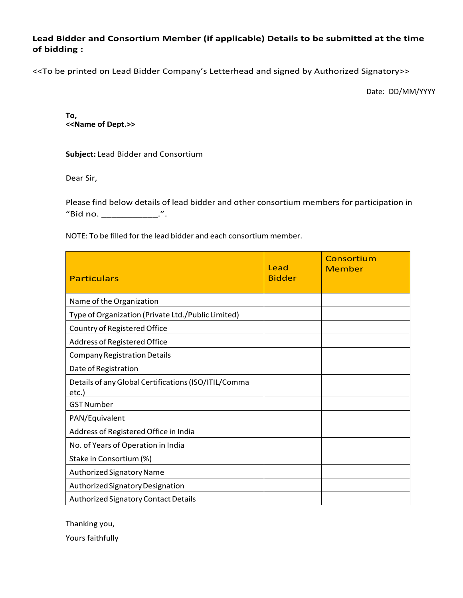**Lead Bidder and Consortium Member (if applicable) Details to be submitted at the time of bidding :** 

<<To be printed on Lead Bidder Company's Letterhead and signed by Authorized Signatory>>

Date: DD/MM/YYYY

**To, <<Name of Dept.>>**

**Subject:** Lead Bidder and Consortium

Dear Sir,

Please find below details of lead bidder and other consortium members for participation in "Bid no. \_\_\_\_\_\_\_\_\_\_\_\_\_.".

NOTE: To be filled for the lead bidder and each consortium member.

| <b>Particulars</b>                                           | Lead<br><b>Bidder</b> | Consortium<br>Member |
|--------------------------------------------------------------|-----------------------|----------------------|
| Name of the Organization                                     |                       |                      |
| Type of Organization (Private Ltd./Public Limited)           |                       |                      |
| Country of Registered Office                                 |                       |                      |
| Address of Registered Office                                 |                       |                      |
| Company Registration Details                                 |                       |                      |
| Date of Registration                                         |                       |                      |
| Details of any Global Certifications (ISO/ITIL/Comma<br>etc. |                       |                      |
| <b>GST Number</b>                                            |                       |                      |
| PAN/Equivalent                                               |                       |                      |
| Address of Registered Office in India                        |                       |                      |
| No. of Years of Operation in India                           |                       |                      |
| Stake in Consortium (%)                                      |                       |                      |
| Authorized Signatory Name                                    |                       |                      |
| Authorized Signatory Designation                             |                       |                      |
| Authorized Signatory Contact Details                         |                       |                      |

Thanking you,

Yours faithfully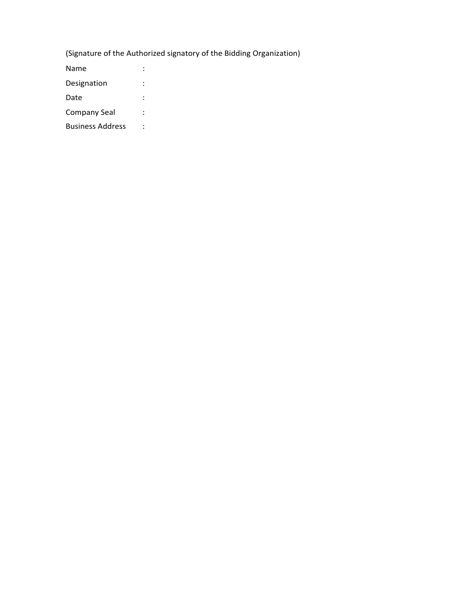(Signature of the Authorized signatory of the Bidding Organization)

| Name                    |  |
|-------------------------|--|
| Designation             |  |
| Date                    |  |
| Company Seal            |  |
| <b>Business Address</b> |  |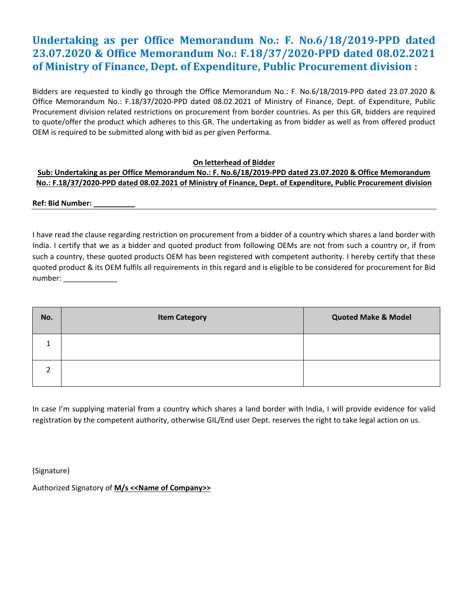# **Undertaking as per Office Memorandum No.: F. No.6/18/2019‐PPD dated 23.07.2020 & Office Memorandum No.: F.18/37/2020‐PPD dated 08.02.2021 of Ministry of Finance, Dept. of Expenditure, Public Procurement division :**

Bidders are requested to kindly go through the Office Memorandum No.: F. No.6/18/2019-PPD dated 23.07.2020 & Office Memorandum No.: F.18/37/2020‐PPD dated 08.02.2021 of Ministry of Finance, Dept. of Expenditure, Public Procurement division related restrictions on procurement from border countries. As per this GR, bidders are required to quote/offer the product which adheres to this GR. The undertaking as from bidder as well as from offered product OEM is required to be submitted along with bid as per given Performa.

#### **On letterhead of Bidder**

## **Sub: Undertaking as per Office Memorandum No.: F. No.6/18/2019‐PPD dated 23.07.2020 & Office Memorandum No.: F.18/37/2020‐PPD dated 08.02.2021 of Ministry of Finance, Dept. of Expenditure, Public Procurement division**

**Ref: Bid Number:** 

I have read the clause regarding restriction on procurement from a bidder of a country which shares a land border with India. I certify that we as a bidder and quoted product from following OEMs are not from such a country or, if from such a country, these quoted products OEM has been registered with competent authority. I hereby certify that these quoted product & its OEM fulfils all requirements in this regard and is eligible to be considered for procurement for Bid number:

| No. | <b>Item Category</b> | <b>Quoted Make &amp; Model</b> |
|-----|----------------------|--------------------------------|
| 1   |                      |                                |
| h   |                      |                                |

In case I'm supplying material from a country which shares a land border with India, I will provide evidence for valid registration by the competent authority, otherwise GIL/End user Dept. reserves the right to take legal action on us.

(Signature)

Authorized Signatory of **M/s <<Name of Company>>**